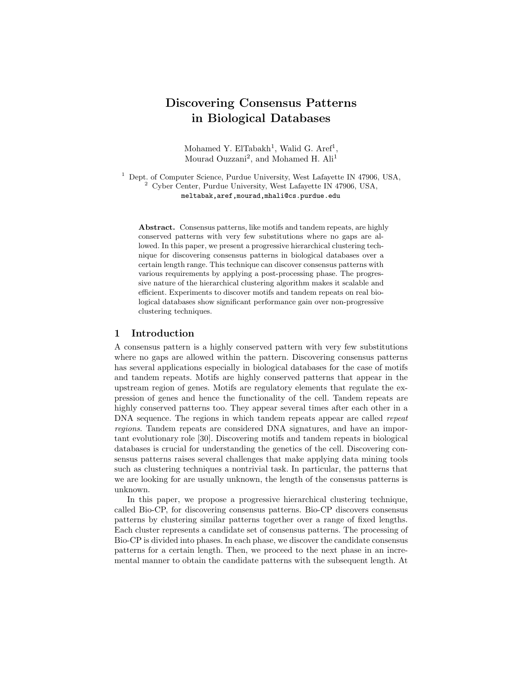# Discovering Consensus Patterns in Biological Databases

Mohamed Y. ElTabakh<sup>1</sup>, Walid G. Aref<sup>1</sup>, Mourad Ouzzani<sup>2</sup>, and Mohamed H. Ali<sup>1</sup>

<sup>1</sup> Dept. of Computer Science, Purdue University, West Lafayette IN 47906, USA, <sup>2</sup> Cyber Center, Purdue University, West Lafayette IN 47906, USA, meltabak,aref,mourad,mhali@cs.purdue.edu

Abstract. Consensus patterns, like motifs and tandem repeats, are highly conserved patterns with very few substitutions where no gaps are allowed. In this paper, we present a progressive hierarchical clustering technique for discovering consensus patterns in biological databases over a certain length range. This technique can discover consensus patterns with various requirements by applying a post-processing phase. The progressive nature of the hierarchical clustering algorithm makes it scalable and efficient. Experiments to discover motifs and tandem repeats on real biological databases show significant performance gain over non-progressive clustering techniques.

#### 1 Introduction

A consensus pattern is a highly conserved pattern with very few substitutions where no gaps are allowed within the pattern. Discovering consensus patterns has several applications especially in biological databases for the case of motifs and tandem repeats. Motifs are highly conserved patterns that appear in the upstream region of genes. Motifs are regulatory elements that regulate the expression of genes and hence the functionality of the cell. Tandem repeats are highly conserved patterns too. They appear several times after each other in a DNA sequence. The regions in which tandem repeats appear are called repeat regions. Tandem repeats are considered DNA signatures, and have an important evolutionary role [30]. Discovering motifs and tandem repeats in biological databases is crucial for understanding the genetics of the cell. Discovering consensus patterns raises several challenges that make applying data mining tools such as clustering techniques a nontrivial task. In particular, the patterns that we are looking for are usually unknown, the length of the consensus patterns is unknown.

In this paper, we propose a progressive hierarchical clustering technique, called Bio-CP, for discovering consensus patterns. Bio-CP discovers consensus patterns by clustering similar patterns together over a range of fixed lengths. Each cluster represents a candidate set of consensus patterns. The processing of Bio-CP is divided into phases. In each phase, we discover the candidate consensus patterns for a certain length. Then, we proceed to the next phase in an incremental manner to obtain the candidate patterns with the subsequent length. At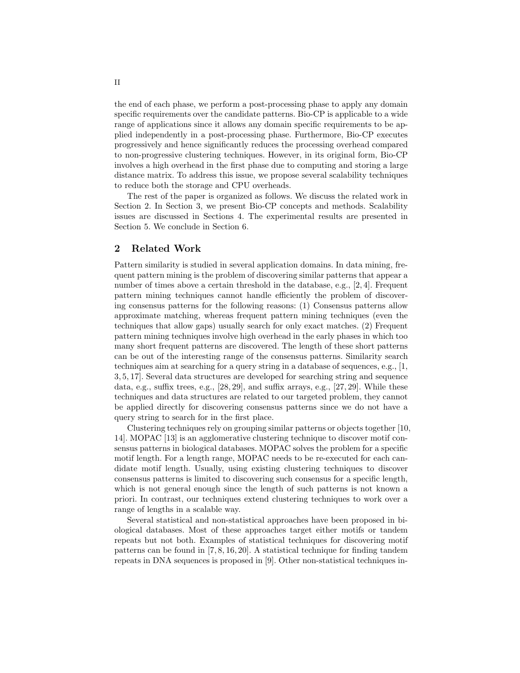the end of each phase, we perform a post-processing phase to apply any domain specific requirements over the candidate patterns. Bio-CP is applicable to a wide range of applications since it allows any domain specific requirements to be applied independently in a post-processing phase. Furthermore, Bio-CP executes progressively and hence significantly reduces the processing overhead compared to non-progressive clustering techniques. However, in its original form, Bio-CP involves a high overhead in the first phase due to computing and storing a large distance matrix. To address this issue, we propose several scalability techniques to reduce both the storage and CPU overheads.

The rest of the paper is organized as follows. We discuss the related work in Section 2. In Section 3, we present Bio-CP concepts and methods. Scalability issues are discussed in Sections 4. The experimental results are presented in Section 5. We conclude in Section 6.

## 2 Related Work

Pattern similarity is studied in several application domains. In data mining, frequent pattern mining is the problem of discovering similar patterns that appear a number of times above a certain threshold in the database, e.g., [2, 4]. Frequent pattern mining techniques cannot handle efficiently the problem of discovering consensus patterns for the following reasons: (1) Consensus patterns allow approximate matching, whereas frequent pattern mining techniques (even the techniques that allow gaps) usually search for only exact matches. (2) Frequent pattern mining techniques involve high overhead in the early phases in which too many short frequent patterns are discovered. The length of these short patterns can be out of the interesting range of the consensus patterns. Similarity search techniques aim at searching for a query string in a database of sequences, e.g., [1, 3, 5, 17]. Several data structures are developed for searching string and sequence data, e.g., suffix trees, e.g., [28, 29], and suffix arrays, e.g., [27, 29]. While these techniques and data structures are related to our targeted problem, they cannot be applied directly for discovering consensus patterns since we do not have a query string to search for in the first place.

Clustering techniques rely on grouping similar patterns or objects together [10, 14]. MOPAC [13] is an agglomerative clustering technique to discover motif consensus patterns in biological databases. MOPAC solves the problem for a specific motif length. For a length range, MOPAC needs to be re-executed for each candidate motif length. Usually, using existing clustering techniques to discover consensus patterns is limited to discovering such consensus for a specific length, which is not general enough since the length of such patterns is not known a priori. In contrast, our techniques extend clustering techniques to work over a range of lengths in a scalable way.

Several statistical and non-statistical approaches have been proposed in biological databases. Most of these approaches target either motifs or tandem repeats but not both. Examples of statistical techniques for discovering motif patterns can be found in [7, 8, 16, 20]. A statistical technique for finding tandem repeats in DNA sequences is proposed in [9]. Other non-statistical techniques in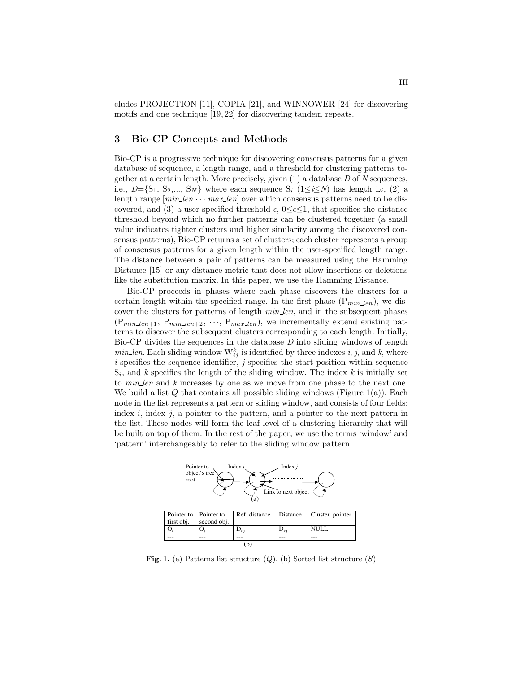cludes PROJECTION [11], COPIA [21], and WINNOWER [24] for discovering motifs and one technique [19, 22] for discovering tandem repeats.

## 3 Bio-CP Concepts and Methods

Bio-CP is a progressive technique for discovering consensus patterns for a given database of sequence, a length range, and a threshold for clustering patterns together at a certain length. More precisely, given  $(1)$  a database D of N sequences, i.e.,  $D = \{S_1, S_2, \ldots, S_N\}$  where each sequence  $S_i$   $(1 \leq i \leq N)$  has length  $L_i$ ,  $(2)$  a length range  $[min\_len \cdots max\_len]$  over which consensus patterns need to be discovered, and (3) a user-specified threshold  $\epsilon$ , 0≤ $\epsilon$ ≤1, that specifies the distance threshold beyond which no further patterns can be clustered together (a small value indicates tighter clusters and higher similarity among the discovered consensus patterns), Bio-CP returns a set of clusters; each cluster represents a group of consensus patterns for a given length within the user-specified length range. The distance between a pair of patterns can be measured using the Hamming Distance [15] or any distance metric that does not allow insertions or deletions like the substitution matrix. In this paper, we use the Hamming Distance.

Bio-CP proceeds in phases where each phase discovers the clusters for a certain length within the specified range. In the first phase  $(P_{min\_len})$ , we discover the clusters for patterns of length  $min\_len$ , and in the subsequent phases  $(P_{min\_len+1}, P_{min\_len+2}, \dots, P_{max\_len}),$  we incrementally extend existing patterns to discover the subsequent clusters corresponding to each length. Initially, Bio-CP divides the sequences in the database  $D$  into sliding windows of length  $min\_len$ . Each sliding window  $\mathbf{W}_{ij}^k$  is identified by three indexes i, j, and k, where  $i$  specifies the sequence identifier,  $j$  specifies the start position within sequence  $S_i$ , and k specifies the length of the sliding window. The index k is initially set to *min<sub>-len</sub>* and *k* increases by one as we move from one phase to the next one. We build a list  $Q$  that contains all possible sliding windows (Figure 1(a)). Each node in the list represents a pattern or sliding window, and consists of four fields: index  $i$ , index  $j$ , a pointer to the pattern, and a pointer to the next pattern in the list. These nodes will form the leaf level of a clustering hierarchy that will be built on top of them. In the rest of the paper, we use the terms 'window' and 'pattern' interchangeably to refer to the sliding window pattern.



Fig. 1. (a) Patterns list structure  $(Q)$ . (b) Sorted list structure  $(S)$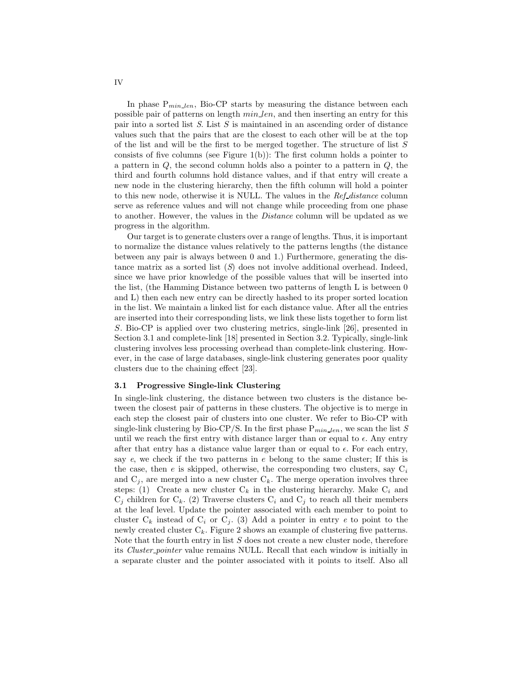In phase  $P_{min\_len}$ , Bio-CP starts by measuring the distance between each possible pair of patterns on length min len, and then inserting an entry for this pair into a sorted list  $S$ . List  $S$  is maintained in an ascending order of distance values such that the pairs that are the closest to each other will be at the top of the list and will be the first to be merged together. The structure of list S consists of five columns (see Figure  $1(b)$ ): The first column holds a pointer to a pattern in  $Q$ , the second column holds also a pointer to a pattern in  $Q$ , the third and fourth columns hold distance values, and if that entry will create a new node in the clustering hierarchy, then the fifth column will hold a pointer to this new node, otherwise it is NULL. The values in the Ref distance column serve as reference values and will not change while proceeding from one phase to another. However, the values in the Distance column will be updated as we progress in the algorithm.

Our target is to generate clusters over a range of lengths. Thus, it is important to normalize the distance values relatively to the patterns lengths (the distance between any pair is always between 0 and 1.) Furthermore, generating the distance matrix as a sorted list  $(S)$  does not involve additional overhead. Indeed, since we have prior knowledge of the possible values that will be inserted into the list, (the Hamming Distance between two patterns of length L is between 0 and L) then each new entry can be directly hashed to its proper sorted location in the list. We maintain a linked list for each distance value. After all the entries are inserted into their corresponding lists, we link these lists together to form list S. Bio-CP is applied over two clustering metrics, single-link [26], presented in Section 3.1 and complete-link [18] presented in Section 3.2. Typically, single-link clustering involves less processing overhead than complete-link clustering. However, in the case of large databases, single-link clustering generates poor quality clusters due to the chaining effect [23].

#### 3.1 Progressive Single-link Clustering

In single-link clustering, the distance between two clusters is the distance between the closest pair of patterns in these clusters. The objective is to merge in each step the closest pair of clusters into one cluster. We refer to Bio-CP with single-link clustering by Bio-CP/S. In the first phase  $P_{min\_len}$ , we scan the list S until we reach the first entry with distance larger than or equal to  $\epsilon$ . Any entry after that entry has a distance value larger than or equal to  $\epsilon$ . For each entry, say  $e$ , we check if the two patterns in  $e$  belong to the same cluster; If this is the case, then e is skipped, otherwise, the corresponding two clusters, say  $C_i$ and  $C_j$ , are merged into a new cluster  $C_k$ . The merge operation involves three steps: (1) Create a new cluster  $C_k$  in the clustering hierarchy. Make  $C_i$  and  $C_j$  children for  $C_k$ . (2) Traverse clusters  $C_i$  and  $C_j$  to reach all their members at the leaf level. Update the pointer associated with each member to point to cluster  $C_k$  instead of  $C_i$  or  $C_j$ . (3) Add a pointer in entry e to point to the newly created cluster  $C_k$ . Figure 2 shows an example of clustering five patterns. Note that the fourth entry in list S does not create a new cluster node, therefore its Cluster pointer value remains NULL. Recall that each window is initially in a separate cluster and the pointer associated with it points to itself. Also all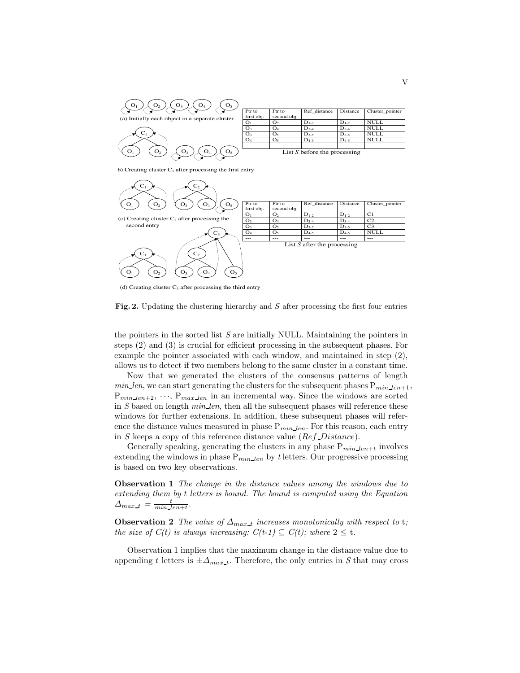

 $(b)$  Creating cluster  $C_1$  after processing the first entry



(d) Creating cluster  $C_3$  after processing the third entry

Fig. 2. Updating the clustering hierarchy and S after processing the first four entries

the pointers in the sorted list  $S$  are initially NULL. Maintaining the pointers in steps (2) and (3) is crucial for efficient processing in the subsequent phases. For example the pointer associated with each window, and maintained in step (2), allows us to detect if two members belong to the same cluster in a constant time.

Now that we generated the clusters of the consensus patterns of length  $min\_len$ , we can start generating the clusters for the subsequent phases  $P_{min\_len+1}$ ,  $P_{min\_len+2}, \dots, P_{max\_len}$  in an incremental way. Since the windows are sorted in  $S$  based on length  $min\_len$ , then all the subsequent phases will reference these windows for further extensions. In addition, these subsequent phases will reference the distance values measured in phase  $P_{min\_len}$ . For this reason, each entry in S keeps a copy of this reference distance value (Ref Distance).

Generally speaking, generating the clusters in any phase  $P_{min\_len+t}$  involves extending the windows in phase  $P_{min \, len}$  by t letters. Our progressive processing is based on two key observations.

Observation 1 The change in the distance values among the windows due to extending them by t letters is bound. The bound is computed using the Equation  $\Delta_{max\_t} = \frac{t}{min\_len+t}.$ 

**Observation 2** The value of  $\Delta_{max\_t}$  increases monotonically with respect to t; the size of  $C(t)$  is always increasing:  $C(t-1) \subseteq C(t)$ ; where  $2 \leq t$ .

Observation 1 implies that the maximum change in the distance value due to appending t letters is  $\pm \Delta_{max_{\mu}}$ . Therefore, the only entries in S that may cross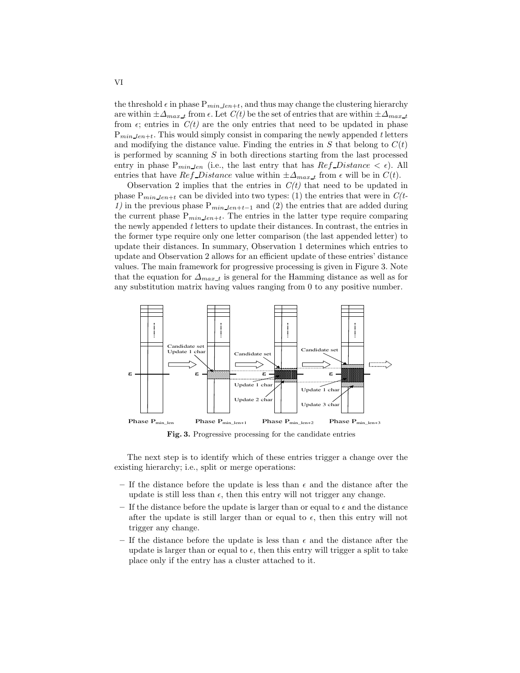the threshold  $\epsilon$  in phase  $P_{min\_len+t}$ , and thus may change the clustering hierarchy are within  $\pm \Delta_{max\_t}$  from  $\epsilon$ . Let  $C(t)$  be the set of entries that are within  $\pm \Delta_{max\_t}$ from  $\epsilon$ ; entries in  $C(t)$  are the only entries that need to be updated in phase  $P_{min\_len+t}$ . This would simply consist in comparing the newly appended t letters and modifying the distance value. Finding the entries in  $S$  that belong to  $C(t)$ is performed by scanning  $S$  in both directions starting from the last processed entry in phase  $P_{min\text{len}}$  (i.e., the last entry that has  $Ref\_Distance < \epsilon$ ). All entries that have Ref Distance value within  $\pm \Delta_{max\_t}$  from  $\epsilon$  will be in  $C(t)$ .

Observation 2 implies that the entries in  $C(t)$  that need to be updated in phase  $P_{min\_len+t}$  can be divided into two types: (1) the entries that were in  $C(t-$ 1) in the previous phase  $P_{min\_len+t-1}$  and (2) the entries that are added during the current phase  $P_{min\_len+t}$ . The entries in the latter type require comparing the newly appended t letters to update their distances. In contrast, the entries in the former type require only one letter comparison (the last appended letter) to update their distances. In summary, Observation 1 determines which entries to update and Observation 2 allows for an efficient update of these entries' distance values. The main framework for progressive processing is given in Figure 3. Note that the equation for  $\Delta_{max\_t}$  is general for the Hamming distance as well as for any substitution matrix having values ranging from 0 to any positive number.



Fig. 3. Progressive processing for the candidate entries

The next step is to identify which of these entries trigger a change over the existing hierarchy; i.e., split or merge operations:

- If the distance before the update is less than  $\epsilon$  and the distance after the update is still less than  $\epsilon$ , then this entry will not trigger any change.
- If the distance before the update is larger than or equal to  $\epsilon$  and the distance after the update is still larger than or equal to  $\epsilon$ , then this entry will not trigger any change.
- If the distance before the update is less than  $\epsilon$  and the distance after the update is larger than or equal to  $\epsilon$ , then this entry will trigger a split to take place only if the entry has a cluster attached to it.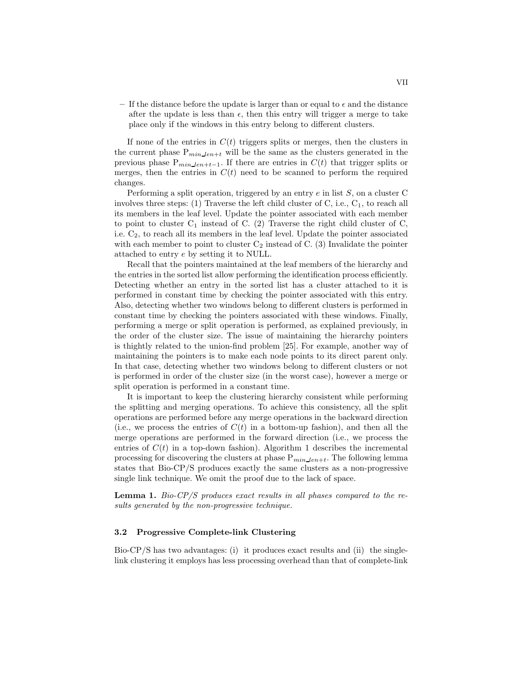– If the distance before the update is larger than or equal to  $\epsilon$  and the distance after the update is less than  $\epsilon$ , then this entry will trigger a merge to take place only if the windows in this entry belong to different clusters.

If none of the entries in  $C(t)$  triggers splits or merges, then the clusters in the current phase  $P_{min\_len+t}$  will be the same as the clusters generated in the previous phase  $P_{min\_len+t-1}$ . If there are entries in  $C(t)$  that trigger splits or merges, then the entries in  $C(t)$  need to be scanned to perform the required changes.

Performing a split operation, triggered by an entry  $e$  in list  $S$ , on a cluster C involves three steps: (1) Traverse the left child cluster of C, i.e.,  $C_1$ , to reach all its members in the leaf level. Update the pointer associated with each member to point to cluster  $C_1$  instead of C. (2) Traverse the right child cluster of C, i.e.  $C_2$ , to reach all its members in the leaf level. Update the pointer associated with each member to point to cluster  $C_2$  instead of C. (3) Invalidate the pointer attached to entry e by setting it to NULL.

Recall that the pointers maintained at the leaf members of the hierarchy and the entries in the sorted list allow performing the identification process efficiently. Detecting whether an entry in the sorted list has a cluster attached to it is performed in constant time by checking the pointer associated with this entry. Also, detecting whether two windows belong to different clusters is performed in constant time by checking the pointers associated with these windows. Finally, performing a merge or split operation is performed, as explained previously, in the order of the cluster size. The issue of maintaining the hierarchy pointers is thightly related to the union-find problem [25]. For example, another way of maintaining the pointers is to make each node points to its direct parent only. In that case, detecting whether two windows belong to different clusters or not is performed in order of the cluster size (in the worst case), however a merge or split operation is performed in a constant time.

It is important to keep the clustering hierarchy consistent while performing the splitting and merging operations. To achieve this consistency, all the split operations are performed before any merge operations in the backward direction (i.e., we process the entries of  $C(t)$  in a bottom-up fashion), and then all the merge operations are performed in the forward direction (i.e., we process the entries of  $C(t)$  in a top-down fashion). Algorithm 1 describes the incremental processing for discovering the clusters at phase  $P_{min \, len+t}$ . The following lemma states that Bio-CP/S produces exactly the same clusters as a non-progressive single link technique. We omit the proof due to the lack of space.

**Lemma 1.** Bio-CP/S produces exact results in all phases compared to the results generated by the non-progressive technique.

## 3.2 Progressive Complete-link Clustering

Bio-CP/S has two advantages: (i) it produces exact results and (ii) the singlelink clustering it employs has less processing overhead than that of complete-link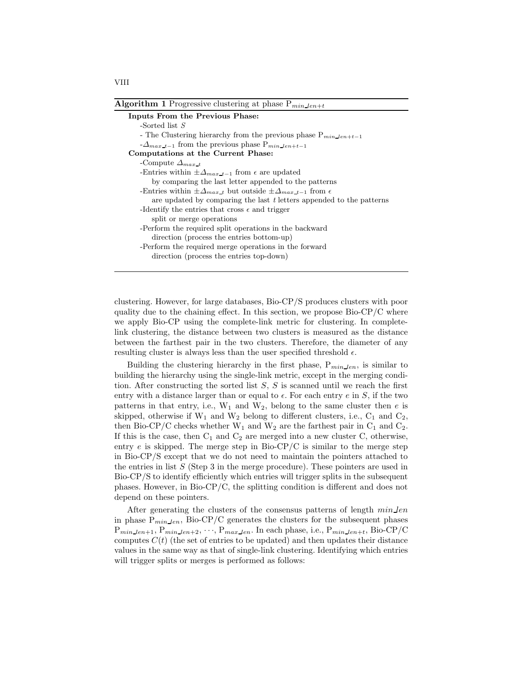| <b>Algorithm 1</b> Progressive clustering at phase $P_{min\_len+t}$ |  |  |  |  |  |  |  |
|---------------------------------------------------------------------|--|--|--|--|--|--|--|
|---------------------------------------------------------------------|--|--|--|--|--|--|--|

| Inputs From the Previous Phase:                                                           |  |  |  |  |  |  |
|-------------------------------------------------------------------------------------------|--|--|--|--|--|--|
| -Sorted list $S$                                                                          |  |  |  |  |  |  |
| - The Clustering hierarchy from the previous phase $P_{min\_len+t-1}$                     |  |  |  |  |  |  |
| $-\Delta_{max_t-1}$ from the previous phase $P_{min_t-1}$                                 |  |  |  |  |  |  |
| Computations at the Current Phase:                                                        |  |  |  |  |  |  |
| -Compute $\Delta_{max\_t}$                                                                |  |  |  |  |  |  |
| -Entries within $\pm \Delta_{max_{t=1}}$ from $\epsilon$ are updated                      |  |  |  |  |  |  |
| by comparing the last letter appended to the patterns                                     |  |  |  |  |  |  |
| -Entries within $\pm \Delta_{max\_t}$ but outside $\pm \Delta_{max\_t-1}$ from $\epsilon$ |  |  |  |  |  |  |
| are updated by comparing the last $t$ letters appended to the patterns                    |  |  |  |  |  |  |
| -Identify the entries that cross $\epsilon$ and trigger                                   |  |  |  |  |  |  |
| split or merge operations                                                                 |  |  |  |  |  |  |
| -Perform the required split operations in the backward                                    |  |  |  |  |  |  |
| direction (process the entries bottom-up)                                                 |  |  |  |  |  |  |
| -Perform the required merge operations in the forward                                     |  |  |  |  |  |  |
| direction (process the entries top-down)                                                  |  |  |  |  |  |  |

clustering. However, for large databases, Bio-CP/S produces clusters with poor quality due to the chaining effect. In this section, we propose  $\rm Bio-CP/C$  where we apply Bio-CP using the complete-link metric for clustering. In completelink clustering, the distance between two clusters is measured as the distance between the farthest pair in the two clusters. Therefore, the diameter of any resulting cluster is always less than the user specified threshold  $\epsilon$ .

Building the clustering hierarchy in the first phase,  $P_{min\_len}$ , is similar to building the hierarchy using the single-link metric, except in the merging condition. After constructing the sorted list  $S, S$  is scanned until we reach the first entry with a distance larger than or equal to  $\epsilon$ . For each entry  $e$  in  $S$ , if the two patterns in that entry, i.e.,  $W_1$  and  $W_2$ , belong to the same cluster then  $e$  is skipped, otherwise if  $W_1$  and  $W_2$  belong to different clusters, i.e.,  $C_1$  and  $C_2$ , then Bio-CP/C checks whether  $W_1$  and  $W_2$  are the farthest pair in  $C_1$  and  $C_2$ . If this is the case, then  $C_1$  and  $C_2$  are merged into a new cluster C, otherwise, entry  $e$  is skipped. The merge step in Bio-CP/C is similar to the merge step in Bio-CP/S except that we do not need to maintain the pointers attached to the entries in list  $S$  (Step 3 in the merge procedure). These pointers are used in Bio-CP/S to identify efficiently which entries will trigger splits in the subsequent phases. However, in Bio-CP/C, the splitting condition is different and does not depend on these pointers.

After generating the clusters of the consensus patterns of length min len in phase  $P_{min\_len}$ , Bio-CP/C generates the clusters for the subsequent phases  $P_{min\_len+1}, P_{min\_len+2}, \dots, P_{max\_len}$ . In each phase, i.e.,  $P_{min\_len+t}$ , Bio-CP/C computes  $C(t)$  (the set of entries to be updated) and then updates their distance values in the same way as that of single-link clustering. Identifying which entries will trigger splits or merges is performed as follows: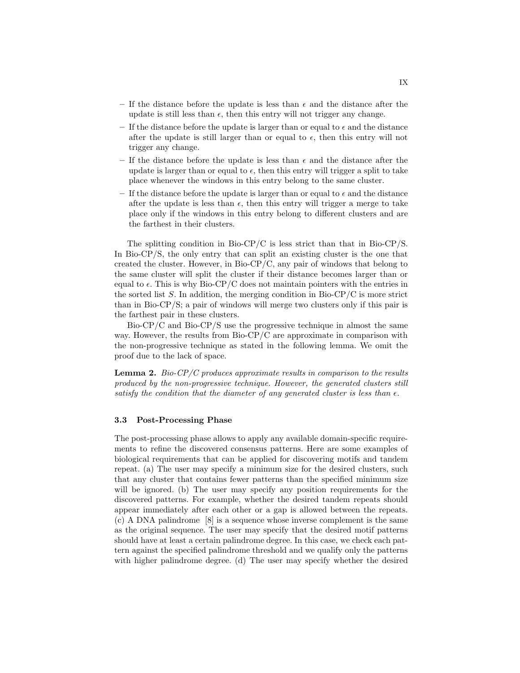- If the distance before the update is less than  $\epsilon$  and the distance after the update is still less than  $\epsilon$ , then this entry will not trigger any change.
- If the distance before the update is larger than or equal to  $\epsilon$  and the distance after the update is still larger than or equal to  $\epsilon$ , then this entry will not trigger any change.
- If the distance before the update is less than  $\epsilon$  and the distance after the update is larger than or equal to  $\epsilon$ , then this entry will trigger a split to take place whenever the windows in this entry belong to the same cluster.
- If the distance before the update is larger than or equal to  $\epsilon$  and the distance after the update is less than  $\epsilon$ , then this entry will trigger a merge to take place only if the windows in this entry belong to different clusters and are the farthest in their clusters.

The splitting condition in Bio-CP/C is less strict than that in Bio-CP/S. In Bio-CP/S, the only entry that can split an existing cluster is the one that created the cluster. However, in Bio-CP/C, any pair of windows that belong to the same cluster will split the cluster if their distance becomes larger than or equal to  $\epsilon$ . This is why Bio-CP/C does not maintain pointers with the entries in the sorted list  $S$ . In addition, the merging condition in Bio-CP/C is more strict than in Bio-CP/S; a pair of windows will merge two clusters only if this pair is the farthest pair in these clusters.

Bio-CP/C and Bio-CP/S use the progressive technique in almost the same way. However, the results from Bio-CP/C are approximate in comparison with the non-progressive technique as stated in the following lemma. We omit the proof due to the lack of space.

**Lemma 2.** Bio-CP/C produces approximate results in comparison to the results produced by the non-progressive technique. However, the generated clusters still satisfy the condition that the diameter of any generated cluster is less than  $\epsilon$ .

#### 3.3 Post-Processing Phase

The post-processing phase allows to apply any available domain-specific requirements to refine the discovered consensus patterns. Here are some examples of biological requirements that can be applied for discovering motifs and tandem repeat. (a) The user may specify a minimum size for the desired clusters, such that any cluster that contains fewer patterns than the specified minimum size will be ignored. (b) The user may specify any position requirements for the discovered patterns. For example, whether the desired tandem repeats should appear immediately after each other or a gap is allowed between the repeats. (c) A DNA palindrome [8] is a sequence whose inverse complement is the same as the original sequence. The user may specify that the desired motif patterns should have at least a certain palindrome degree. In this case, we check each pattern against the specified palindrome threshold and we qualify only the patterns with higher palindrome degree. (d) The user may specify whether the desired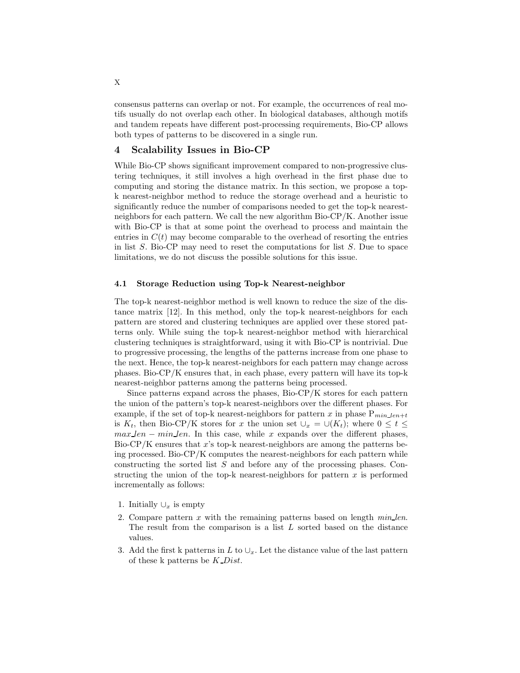consensus patterns can overlap or not. For example, the occurrences of real motifs usually do not overlap each other. In biological databases, although motifs and tandem repeats have different post-processing requirements, Bio-CP allows both types of patterns to be discovered in a single run.

### 4 Scalability Issues in Bio-CP

While Bio-CP shows significant improvement compared to non-progressive clustering techniques, it still involves a high overhead in the first phase due to computing and storing the distance matrix. In this section, we propose a topk nearest-neighbor method to reduce the storage overhead and a heuristic to significantly reduce the number of comparisons needed to get the top-k nearestneighbors for each pattern. We call the new algorithm Bio-CP/K. Another issue with Bio-CP is that at some point the overhead to process and maintain the entries in  $C(t)$  may become comparable to the overhead of resorting the entries in list  $S$ . Bio-CP may need to reset the computations for list  $S$ . Due to space limitations, we do not discuss the possible solutions for this issue.

#### 4.1 Storage Reduction using Top-k Nearest-neighbor

The top-k nearest-neighbor method is well known to reduce the size of the distance matrix [12]. In this method, only the top-k nearest-neighbors for each pattern are stored and clustering techniques are applied over these stored patterns only. While suing the top-k nearest-neighbor method with hierarchical clustering techniques is straightforward, using it with Bio-CP is nontrivial. Due to progressive processing, the lengths of the patterns increase from one phase to the next. Hence, the top-k nearest-neighbors for each pattern may change across phases. Bio-CP/K ensures that, in each phase, every pattern will have its top-k nearest-neighbor patterns among the patterns being processed.

Since patterns expand across the phases, Bio-CP/K stores for each pattern the union of the pattern's top-k nearest-neighbors over the different phases. For example, if the set of top-k nearest-neighbors for pattern x in phase  $P_{min\_len+t}$ is  $K_t$ , then Bio-CP/K stores for x the union set  $\cup_x = \cup (K_t)$ ; where  $0 \le t \le$  $maxLen - minlen$ . In this case, while x expands over the different phases, Bio-CP/K ensures that  $x$ 's top-k nearest-neighbors are among the patterns being processed. Bio- $\mathbb{CP}/\mathbb{K}$  computes the nearest-neighbors for each pattern while constructing the sorted list S and before any of the processing phases. Constructing the union of the top-k nearest-neighbors for pattern  $x$  is performed incrementally as follows:

- 1. Initially  $\cup_x$  is empty
- 2. Compare pattern  $x$  with the remaining patterns based on length  $min\_len$ . The result from the comparison is a list  $L$  sorted based on the distance values.
- 3. Add the first k patterns in L to  $\cup_x$ . Let the distance value of the last pattern of these k patterns be  $K\_{Dist.}$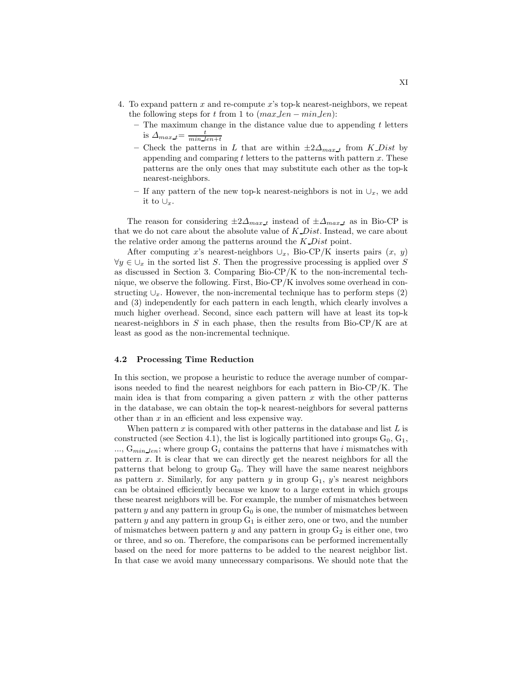- 4. To expand pattern x and re-compute x's top-k nearest-neighbors, we repeat the following steps for t from 1 to  $(max\_len - min\_len)$ :
	- The maximum change in the distance value due to appending  $t$  letters is  $\Delta_{max\_t} = \frac{t}{min\_len+t}$
	- Check the patterns in L that are within  $\pm 2\Delta_{max\ t}$  from K\_Dist by appending and comparing  $t$  letters to the patterns with pattern  $x$ . These patterns are the only ones that may substitute each other as the top-k nearest-neighbors.
	- If any pattern of the new top-k nearest-neighbors is not in  $\cup_x$ , we add it to  $\cup_x$ .

The reason for considering  $\pm 2\Delta_{max,t}$  instead of  $\pm \Delta_{max,t}$  as in Bio-CP is that we do not care about the absolute value of  $K\_{Dist}$ . Instead, we care about the relative order among the patterns around the K Dist point.

After computing x's nearest-neighbors  $\cup_x$ , Bio-CP/K inserts pairs  $(x, y)$  $\forall y \in \bigcup_x$  in the sorted list S. Then the progressive processing is applied over S as discussed in Section 3. Comparing Bio-CP/K to the non-incremental technique, we observe the following. First, Bio-CP/K involves some overhead in constructing  $\cup_x$ . However, the non-incremental technique has to perform steps (2) and (3) independently for each pattern in each length, which clearly involves a much higher overhead. Second, since each pattern will have at least its top-k nearest-neighbors in S in each phase, then the results from Bio-CP/K are at least as good as the non-incremental technique.

#### 4.2 Processing Time Reduction

In this section, we propose a heuristic to reduce the average number of comparisons needed to find the nearest neighbors for each pattern in Bio-CP/K. The main idea is that from comparing a given pattern  $x$  with the other patterns in the database, we can obtain the top-k nearest-neighbors for several patterns other than  $x$  in an efficient and less expensive way.

When pattern  $x$  is compared with other patterns in the database and list  $L$  is constructed (see Section 4.1), the list is logically partitioned into groups  $G_0, G_1$ ,  $..., G_{min\_len}$ ; where group  $G_i$  contains the patterns that have i mismatches with pattern x. It is clear that we can directly get the nearest neighbors for all the patterns that belong to group  $G_0$ . They will have the same nearest neighbors as pattern x. Similarly, for any pattern y in group  $G_1$ , y's nearest neighbors can be obtained efficiently because we know to a large extent in which groups these nearest neighbors will be. For example, the number of mismatches between pattern y and any pattern in group  $G_0$  is one, the number of mismatches between pattern y and any pattern in group  $G_1$  is either zero, one or two, and the number of mismatches between pattern y and any pattern in group  $G_2$  is either one, two or three, and so on. Therefore, the comparisons can be performed incrementally based on the need for more patterns to be added to the nearest neighbor list. In that case we avoid many unnecessary comparisons. We should note that the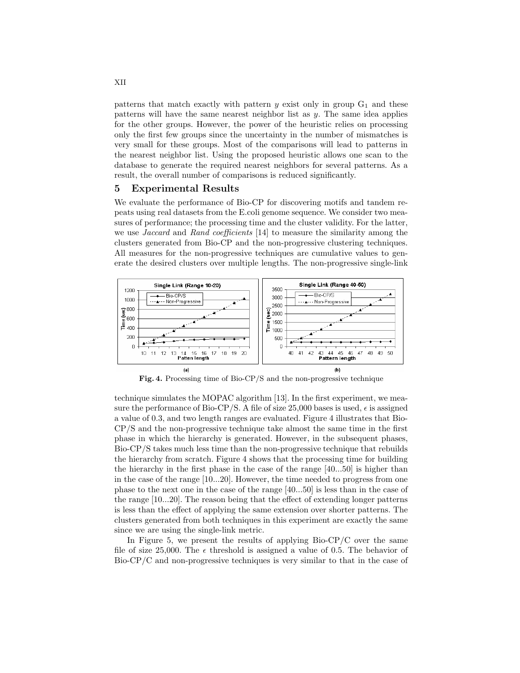patterns that match exactly with pattern  $y$  exist only in group  $G_1$  and these patterns will have the same nearest neighbor list as y. The same idea applies for the other groups. However, the power of the heuristic relies on processing only the first few groups since the uncertainty in the number of mismatches is very small for these groups. Most of the comparisons will lead to patterns in the nearest neighbor list. Using the proposed heuristic allows one scan to the database to generate the required nearest neighbors for several patterns. As a result, the overall number of comparisons is reduced significantly.

#### 5 Experimental Results

We evaluate the performance of Bio-CP for discovering motifs and tandem repeats using real datasets from the E.coli genome sequence. We consider two measures of performance; the processing time and the cluster validity. For the latter, we use Jaccard and Rand coefficients [14] to measure the similarity among the clusters generated from Bio-CP and the non-progressive clustering techniques. All measures for the non-progressive techniques are cumulative values to generate the desired clusters over multiple lengths. The non-progressive single-link



Fig. 4. Processing time of Bio-CP/S and the non-progressive technique

technique simulates the MOPAC algorithm [13]. In the first experiment, we measure the performance of Bio-CP/S. A file of size 25,000 bases is used,  $\epsilon$  is assigned a value of 0.3, and two length ranges are evaluated. Figure 4 illustrates that Bio-CP/S and the non-progressive technique take almost the same time in the first phase in which the hierarchy is generated. However, in the subsequent phases, Bio-CP/S takes much less time than the non-progressive technique that rebuilds the hierarchy from scratch. Figure 4 shows that the processing time for building the hierarchy in the first phase in the case of the range [40...50] is higher than in the case of the range [10...20]. However, the time needed to progress from one phase to the next one in the case of the range [40...50] is less than in the case of the range [10...20]. The reason being that the effect of extending longer patterns is less than the effect of applying the same extension over shorter patterns. The clusters generated from both techniques in this experiment are exactly the same since we are using the single-link metric.

In Figure 5, we present the results of applying Bio-CP/C over the same file of size 25,000. The  $\epsilon$  threshold is assigned a value of 0.5. The behavior of Bio-CP/C and non-progressive techniques is very similar to that in the case of

XII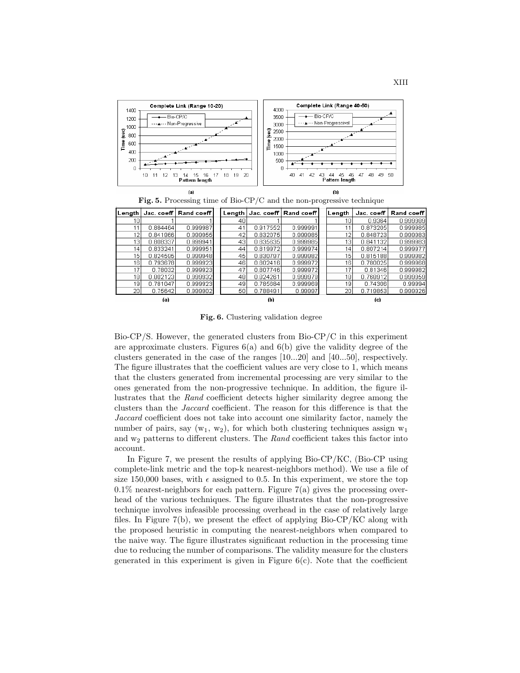



| Length          |          | Jac. coeff   Rand coeff | Length |          | Jac. coeff   Rand coeff |  | Length            | Jac. coeff | Rand coeff |  |
|-----------------|----------|-------------------------|--------|----------|-------------------------|--|-------------------|------------|------------|--|
| 10              |          |                         | 40     |          |                         |  | 101               | 0.9364     | 0.999989   |  |
| 11              | 0.884464 | 0.999987                | 41     | 0.917552 | 0.999991                |  | $\mathbf{1}$      | 0.873205   | 0.999985   |  |
| 12              | 0.841966 | 0.999955                | 42     | 0.832075 | 0.999985                |  | $12 \overline{ }$ | 0.848723   | 0.999983   |  |
| 13              | 0.808337 | 0.999941                | 43     | 0.835635 | 0.999985                |  | 131               | 0.841132   | 0.999983   |  |
| 14              | 0.833241 | 0.999951                | 44     | 0.819972 | 0.999974                |  | 141               | 0.807214   | 0.999977   |  |
| 15 <sub>1</sub> | 0.824595 | 0.999948                | 45     | 0.830797 | 0.999982                |  | 151               | 0.815188   | 0.999982   |  |
| 16              | 0.793678 | 0.999923                | 46     | 0.802416 | 0.999972                |  | 16                | 0.780025   | 0.999968   |  |
| 17              | 0.78032  | 0.999923                | 47     | 0.807746 | 0.999972                |  | 17 <sub>1</sub>   | 0.81346    | 0.999982   |  |
| 18              | 0.802123 | 0.999932                | 48     | 0.824261 | 0.999978                |  | 181               | 0.768912   | 0.999959   |  |
| 19              | 0.781047 | 0.999923                | 49     | 0.785684 | 0.999969                |  | 19                | 0.74306    | 0.99994    |  |
| 20              | 0.75642  | 0.999902                | 50     | 0.788491 | 0.99997                 |  | 20                | 0.719853   | 0.999926   |  |
|                 | íaì      |                         | íhì    |          |                         |  | íc)               |            |            |  |

Fig. 6. Clustering validation degree

Bio-CP/S. However, the generated clusters from Bio-CP/C in this experiment are approximate clusters. Figures  $6(a)$  and  $6(b)$  give the validity degree of the clusters generated in the case of the ranges [10...20] and [40...50], respectively. The figure illustrates that the coefficient values are very close to 1, which means that the clusters generated from incremental processing are very similar to the ones generated from the non-progressive technique. In addition, the figure illustrates that the Rand coefficient detects higher similarity degree among the clusters than the Jaccard coefficient. The reason for this difference is that the Jaccard coefficient does not take into account one similarity factor, namely the number of pairs, say  $(w_1, w_2)$ , for which both clustering techniques assign  $w_1$ and  $w_2$  patterns to different clusters. The Rand coefficient takes this factor into account.

In Figure 7, we present the results of applying Bio-CP/KC, (Bio-CP using complete-link metric and the top-k nearest-neighbors method). We use a file of size 150,000 bases, with  $\epsilon$  assigned to 0.5. In this experiment, we store the top  $0.1\%$  nearest-neighbors for each pattern. Figure 7(a) gives the processing overhead of the various techniques. The figure illustrates that the non-progressive technique involves infeasible processing overhead in the case of relatively large files. In Figure 7(b), we present the effect of applying Bio-CP/KC along with the proposed heuristic in computing the nearest-neighbors when compared to the naive way. The figure illustrates significant reduction in the processing time due to reducing the number of comparisons. The validity measure for the clusters generated in this experiment is given in Figure  $6(c)$ . Note that the coefficient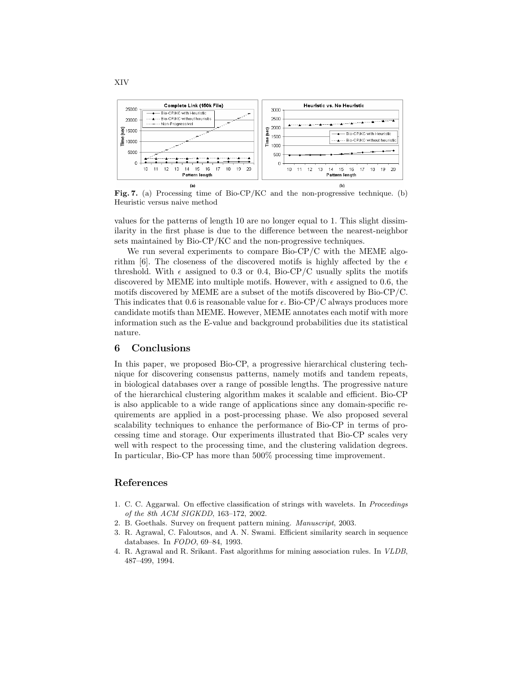

Fig. 7. (a) Processing time of Bio-CP/KC and the non-progressive technique. (b) Heuristic versus naive method

values for the patterns of length 10 are no longer equal to 1. This slight dissimilarity in the first phase is due to the difference between the nearest-neighbor sets maintained by Bio-CP/KC and the non-progressive techniques.

We run several experiments to compare Bio-CP/C with the MEME algorithm [6]. The closeness of the discovered motifs is highly affected by the  $\epsilon$ threshold. With  $\epsilon$  assigned to 0.3 or 0.4, Bio-CP/C usually splits the motifs discovered by MEME into multiple motifs. However, with  $\epsilon$  assigned to 0.6, the motifs discovered by MEME are a subset of the motifs discovered by Bio-CP/C. This indicates that 0.6 is reasonable value for  $\epsilon$ . Bio-CP/C always produces more candidate motifs than MEME. However, MEME annotates each motif with more information such as the E-value and background probabilities due its statistical nature.

## 6 Conclusions

In this paper, we proposed Bio-CP, a progressive hierarchical clustering technique for discovering consensus patterns, namely motifs and tandem repeats, in biological databases over a range of possible lengths. The progressive nature of the hierarchical clustering algorithm makes it scalable and efficient. Bio-CP is also applicable to a wide range of applications since any domain-specific requirements are applied in a post-processing phase. We also proposed several scalability techniques to enhance the performance of Bio-CP in terms of processing time and storage. Our experiments illustrated that Bio-CP scales very well with respect to the processing time, and the clustering validation degrees. In particular, Bio-CP has more than 500% processing time improvement.

### References

- 1. C. C. Aggarwal. On effective classification of strings with wavelets. In Proceedings of the 8th ACM SIGKDD, 163–172, 2002.
- 2. B. Goethals. Survey on frequent pattern mining. Manuscript, 2003.
- 3. R. Agrawal, C. Faloutsos, and A. N. Swami. Efficient similarity search in sequence databases. In FODO, 69–84, 1993.
- 4. R. Agrawal and R. Srikant. Fast algorithms for mining association rules. In VLDB, 487–499, 1994.